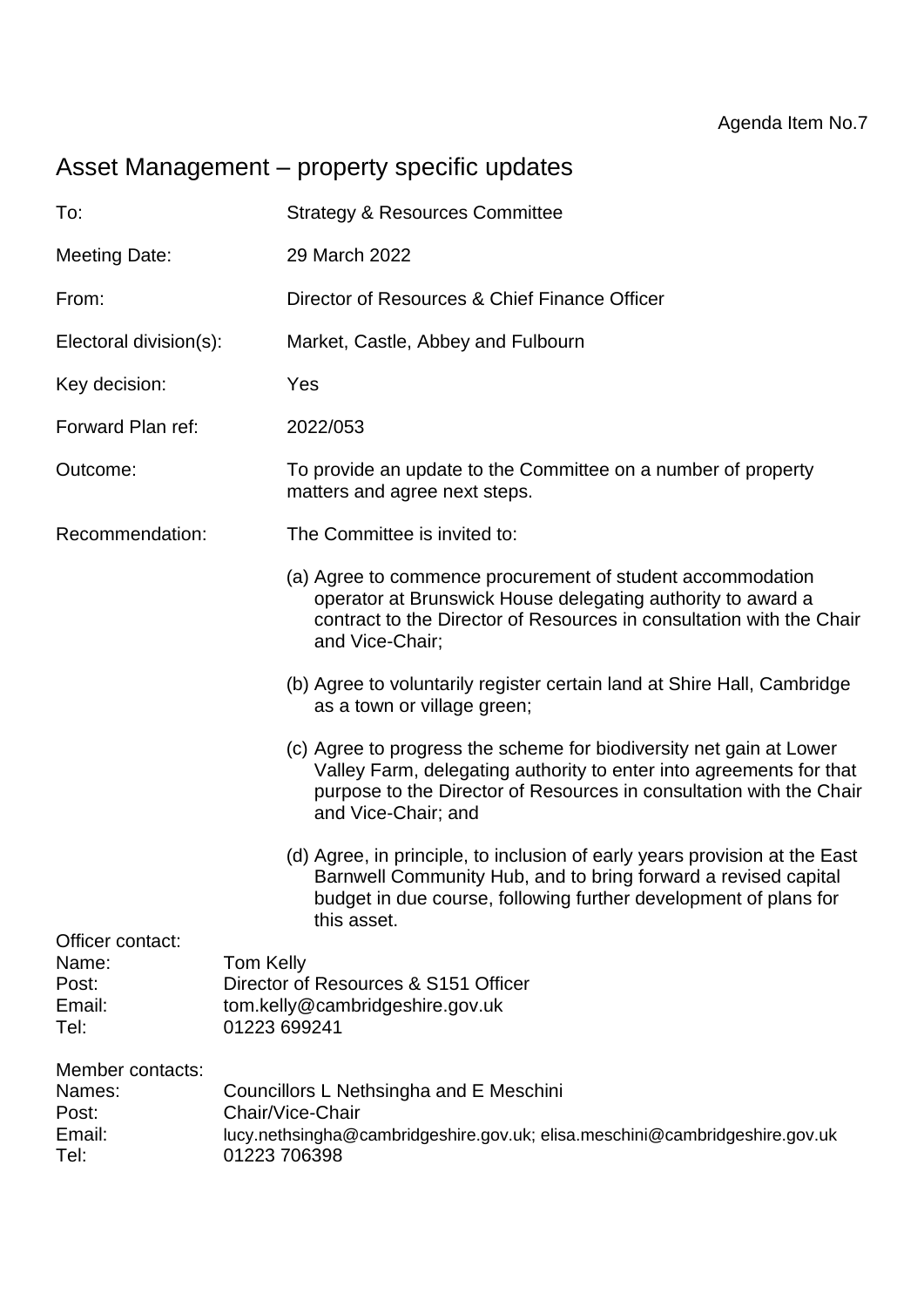# Asset Management – property specific updates

| To:                                                   | <b>Strategy &amp; Resources Committee</b>                                                                                                                                                                                                |
|-------------------------------------------------------|------------------------------------------------------------------------------------------------------------------------------------------------------------------------------------------------------------------------------------------|
| <b>Meeting Date:</b>                                  | 29 March 2022                                                                                                                                                                                                                            |
| From:                                                 | Director of Resources & Chief Finance Officer                                                                                                                                                                                            |
| Electoral division(s):                                | Market, Castle, Abbey and Fulbourn                                                                                                                                                                                                       |
| Key decision:                                         | Yes                                                                                                                                                                                                                                      |
| Forward Plan ref:                                     | 2022/053                                                                                                                                                                                                                                 |
| Outcome:                                              | To provide an update to the Committee on a number of property<br>matters and agree next steps.                                                                                                                                           |
| Recommendation:                                       | The Committee is invited to:                                                                                                                                                                                                             |
|                                                       | (a) Agree to commence procurement of student accommodation<br>operator at Brunswick House delegating authority to award a<br>contract to the Director of Resources in consultation with the Chair<br>and Vice-Chair;                     |
|                                                       | (b) Agree to voluntarily register certain land at Shire Hall, Cambridge<br>as a town or village green;                                                                                                                                   |
|                                                       | (c) Agree to progress the scheme for biodiversity net gain at Lower<br>Valley Farm, delegating authority to enter into agreements for that<br>purpose to the Director of Resources in consultation with the Chair<br>and Vice-Chair; and |
|                                                       | (d) Agree, in principle, to inclusion of early years provision at the East<br>Barnwell Community Hub, and to bring forward a revised capital<br>budget in due course, following further development of plans for<br>this asset.          |
| Officer contact:<br>Name:<br>Post:<br>Email:<br>Tel:  | <b>Tom Kelly</b><br>Director of Resources & S151 Officer<br>tom.kelly@cambridgeshire.gov.uk<br>01223 699241                                                                                                                              |
| Member contacts:<br>Names:<br>Post:<br>Email:<br>Tel: | Councillors L Nethsingha and E Meschini<br>Chair/Vice-Chair<br>lucy.nethsingha@cambridgeshire.gov.uk; elisa.meschini@cambridgeshire.gov.uk<br>01223 706398                                                                               |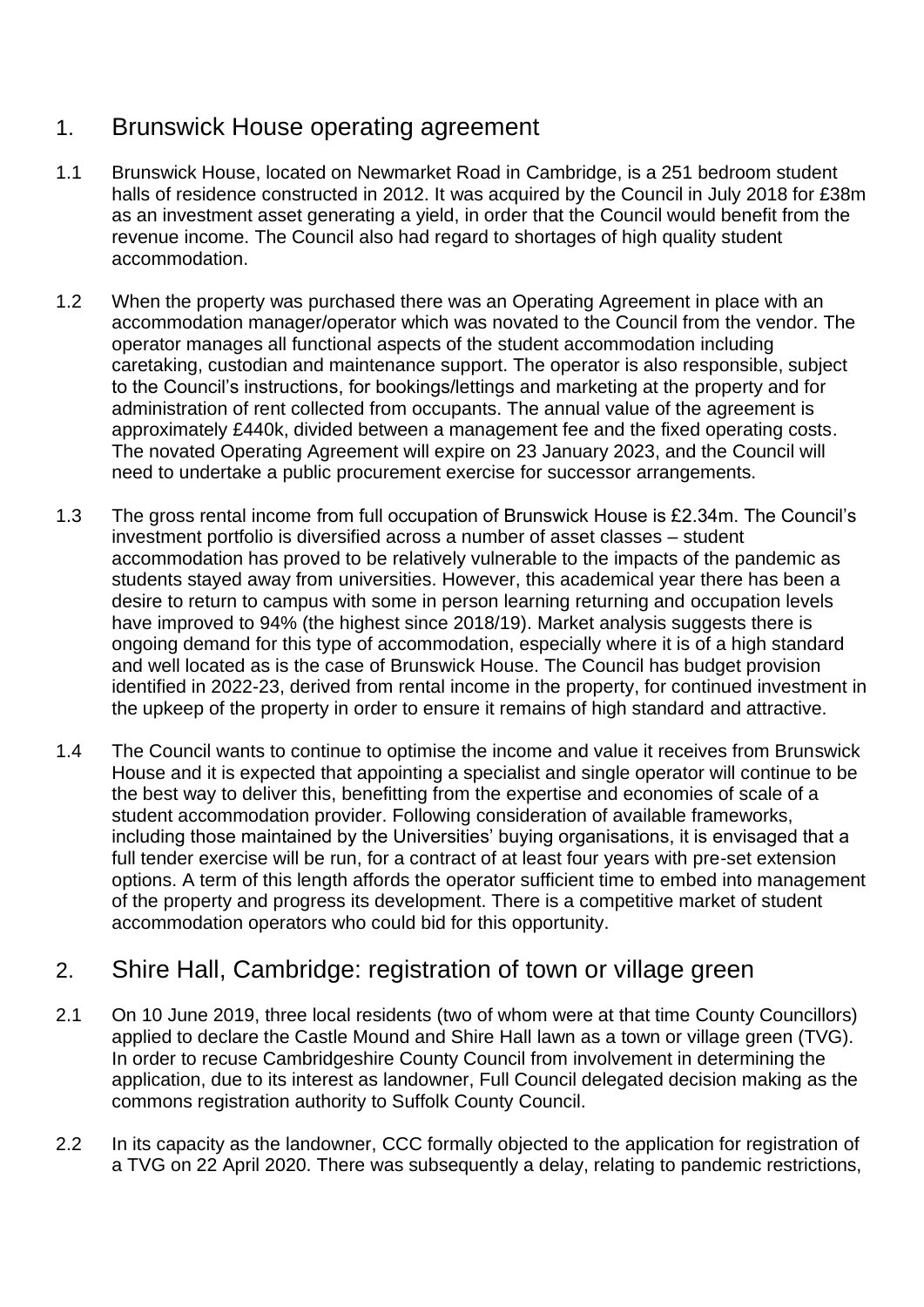# 1. Brunswick House operating agreement

- 1.1 Brunswick House, located on Newmarket Road in Cambridge, is a 251 bedroom student halls of residence constructed in 2012. It was acquired by the Council in July 2018 for £38m as an investment asset generating a yield, in order that the Council would benefit from the revenue income. The Council also had regard to shortages of high quality student accommodation.
- 1.2 When the property was purchased there was an Operating Agreement in place with an accommodation manager/operator which was novated to the Council from the vendor. The operator manages all functional aspects of the student accommodation including caretaking, custodian and maintenance support. The operator is also responsible, subject to the Council's instructions, for bookings/lettings and marketing at the property and for administration of rent collected from occupants. The annual value of the agreement is approximately £440k, divided between a management fee and the fixed operating costs. The novated Operating Agreement will expire on 23 January 2023, and the Council will need to undertake a public procurement exercise for successor arrangements.
- 1.3 The gross rental income from full occupation of Brunswick House is £2.34m. The Council's investment portfolio is diversified across a number of asset classes – student accommodation has proved to be relatively vulnerable to the impacts of the pandemic as students stayed away from universities. However, this academical year there has been a desire to return to campus with some in person learning returning and occupation levels have improved to 94% (the highest since 2018/19). Market analysis suggests there is ongoing demand for this type of accommodation, especially where it is of a high standard and well located as is the case of Brunswick House. The Council has budget provision identified in 2022-23, derived from rental income in the property, for continued investment in the upkeep of the property in order to ensure it remains of high standard and attractive.
- 1.4 The Council wants to continue to optimise the income and value it receives from Brunswick House and it is expected that appointing a specialist and single operator will continue to be the best way to deliver this, benefitting from the expertise and economies of scale of a student accommodation provider. Following consideration of available frameworks, including those maintained by the Universities' buying organisations, it is envisaged that a full tender exercise will be run, for a contract of at least four years with pre-set extension options. A term of this length affords the operator sufficient time to embed into management of the property and progress its development. There is a competitive market of student accommodation operators who could bid for this opportunity.

## 2. Shire Hall, Cambridge: registration of town or village green

- 2.1 On 10 June 2019, three local residents (two of whom were at that time County Councillors) applied to declare the Castle Mound and Shire Hall lawn as a town or village green (TVG). In order to recuse Cambridgeshire County Council from involvement in determining the application, due to its interest as landowner, Full Council delegated decision making as the commons registration authority to Suffolk County Council.
- 2.2 In its capacity as the landowner, CCC formally objected to the application for registration of a TVG on 22 April 2020. There was subsequently a delay, relating to pandemic restrictions,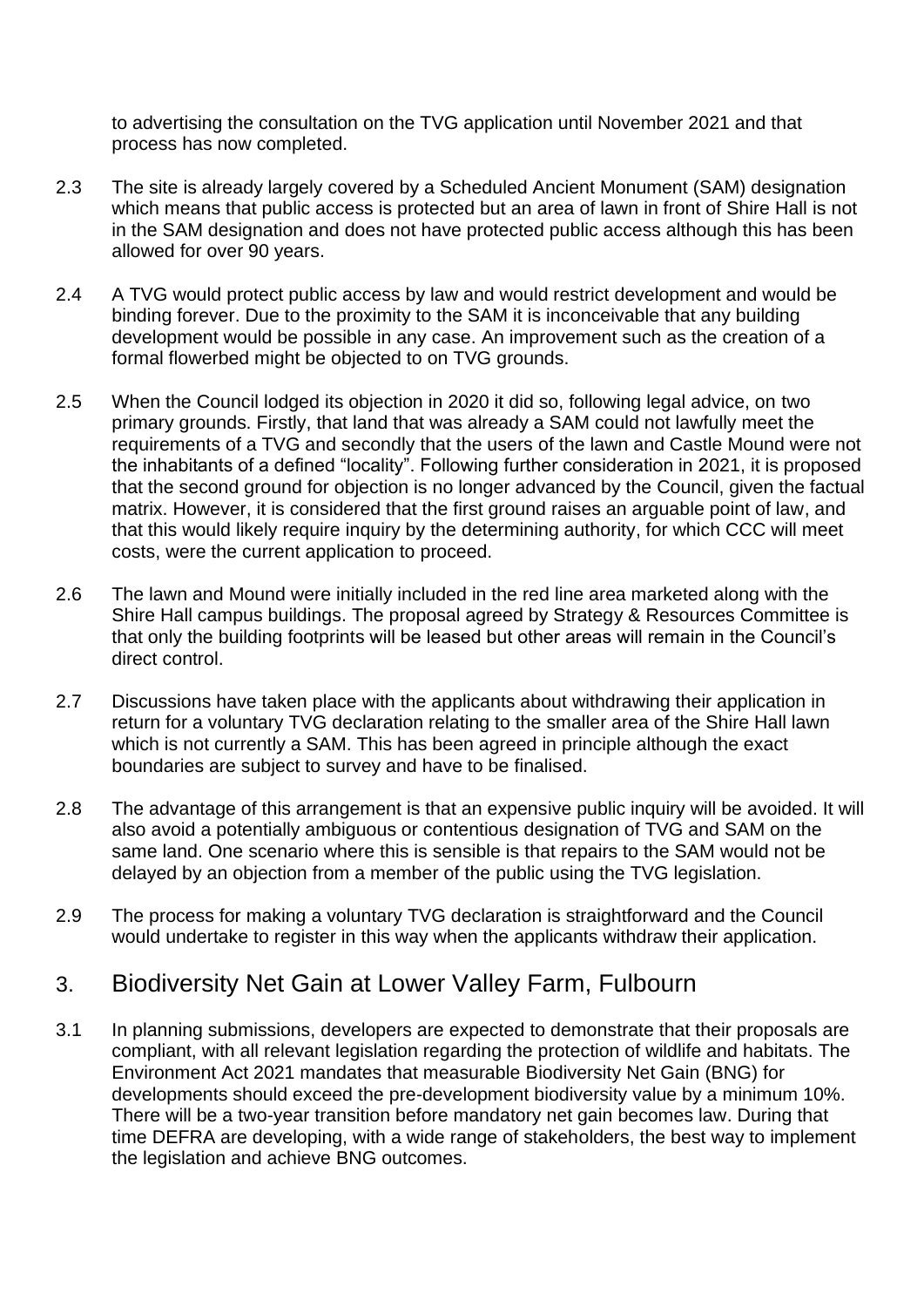to advertising the consultation on the TVG application until November 2021 and that process has now completed.

- 2.3 The site is already largely covered by a Scheduled Ancient Monument (SAM) designation which means that public access is protected but an area of lawn in front of Shire Hall is not in the SAM designation and does not have protected public access although this has been allowed for over 90 years.
- 2.4 A TVG would protect public access by law and would restrict development and would be binding forever. Due to the proximity to the SAM it is inconceivable that any building development would be possible in any case. An improvement such as the creation of a formal flowerbed might be objected to on TVG grounds.
- 2.5 When the Council lodged its objection in 2020 it did so, following legal advice, on two primary grounds. Firstly, that land that was already a SAM could not lawfully meet the requirements of a TVG and secondly that the users of the lawn and Castle Mound were not the inhabitants of a defined "locality". Following further consideration in 2021, it is proposed that the second ground for objection is no longer advanced by the Council, given the factual matrix. However, it is considered that the first ground raises an arguable point of law, and that this would likely require inquiry by the determining authority, for which CCC will meet costs, were the current application to proceed.
- 2.6 The lawn and Mound were initially included in the red line area marketed along with the Shire Hall campus buildings. The proposal agreed by Strategy & Resources Committee is that only the building footprints will be leased but other areas will remain in the Council's direct control.
- 2.7 Discussions have taken place with the applicants about withdrawing their application in return for a voluntary TVG declaration relating to the smaller area of the Shire Hall lawn which is not currently a SAM. This has been agreed in principle although the exact boundaries are subject to survey and have to be finalised.
- 2.8 The advantage of this arrangement is that an expensive public inquiry will be avoided. It will also avoid a potentially ambiguous or contentious designation of TVG and SAM on the same land. One scenario where this is sensible is that repairs to the SAM would not be delayed by an objection from a member of the public using the TVG legislation.
- 2.9 The process for making a voluntary TVG declaration is straightforward and the Council would undertake to register in this way when the applicants withdraw their application.

### 3. Biodiversity Net Gain at Lower Valley Farm, Fulbourn

3.1 In planning submissions, developers are expected to demonstrate that their proposals are compliant, with all relevant legislation regarding the protection of wildlife and habitats. The Environment Act 2021 mandates that measurable Biodiversity Net Gain (BNG) for developments should exceed the pre-development biodiversity value by a minimum 10%. There will be a two-year transition before mandatory net gain becomes law. During that time DEFRA are developing, with a wide range of stakeholders, the best way to implement the legislation and achieve BNG outcomes.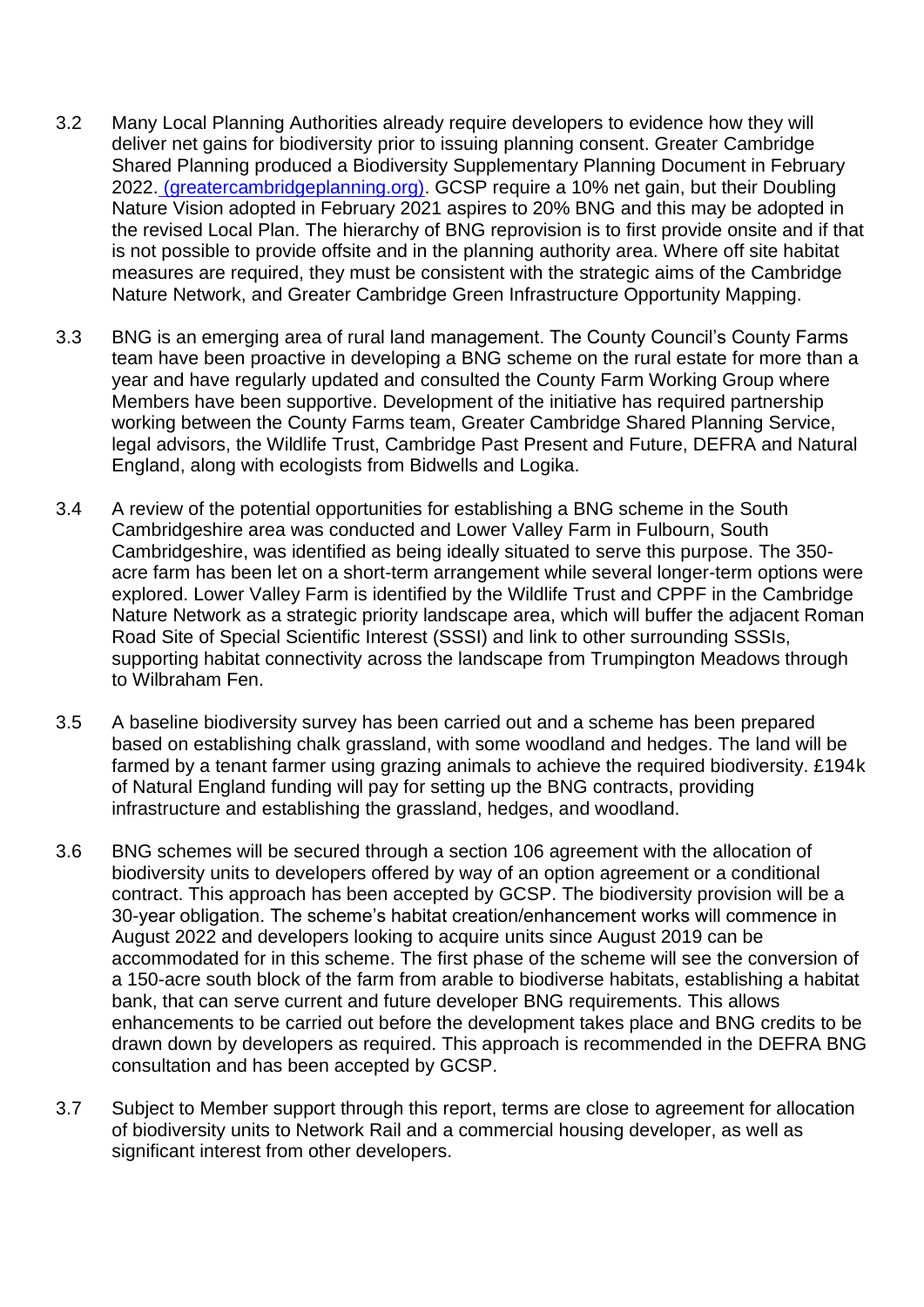- 3.2 Many Local Planning Authorities already require developers to evidence how they will deliver net gains for biodiversity prior to issuing planning consent. Greater Cambridge Shared Planning produced a Biodiversity Supplementary Planning Document in February 2022. [\(greatercambridgeplanning.org\).](https://www.greatercambridgeplanning.org/media/2476/gcsp-biodiversity-spd-feb-2022.pdf) GCSP require a 10% net gain, but their Doubling Nature Vision adopted in February 2021 aspires to 20% BNG and this may be adopted in the revised Local Plan. The hierarchy of BNG reprovision is to first provide onsite and if that is not possible to provide offsite and in the planning authority area. Where off site habitat measures are required, they must be consistent with the strategic aims of the Cambridge Nature Network, and Greater Cambridge Green Infrastructure Opportunity Mapping.
- 3.3 BNG is an emerging area of rural land management. The County Council's County Farms team have been proactive in developing a BNG scheme on the rural estate for more than a year and have regularly updated and consulted the County Farm Working Group where Members have been supportive. Development of the initiative has required partnership working between the County Farms team, Greater Cambridge Shared Planning Service, legal advisors, the Wildlife Trust, Cambridge Past Present and Future, DEFRA and Natural England, along with ecologists from Bidwells and Logika.
- 3.4 A review of the potential opportunities for establishing a BNG scheme in the South Cambridgeshire area was conducted and Lower Valley Farm in Fulbourn, South Cambridgeshire, was identified as being ideally situated to serve this purpose. The 350 acre farm has been let on a short-term arrangement while several longer-term options were explored. Lower Valley Farm is identified by the Wildlife Trust and CPPF in the Cambridge Nature Network as a strategic priority landscape area, which will buffer the adjacent Roman Road Site of Special Scientific Interest (SSSI) and link to other surrounding SSSIs, supporting habitat connectivity across the landscape from Trumpington Meadows through to Wilbraham Fen.
- 3.5 A baseline biodiversity survey has been carried out and a scheme has been prepared based on establishing chalk grassland, with some woodland and hedges. The land will be farmed by a tenant farmer using grazing animals to achieve the required biodiversity. £194k of Natural England funding will pay for setting up the BNG contracts, providing infrastructure and establishing the grassland, hedges, and woodland.
- 3.6 BNG schemes will be secured through a section 106 agreement with the allocation of biodiversity units to developers offered by way of an option agreement or a conditional contract. This approach has been accepted by GCSP. The biodiversity provision will be a 30-year obligation. The scheme's habitat creation/enhancement works will commence in August 2022 and developers looking to acquire units since August 2019 can be accommodated for in this scheme. The first phase of the scheme will see the conversion of a 150-acre south block of the farm from arable to biodiverse habitats, establishing a habitat bank, that can serve current and future developer BNG requirements. This allows enhancements to be carried out before the development takes place and BNG credits to be drawn down by developers as required. This approach is recommended in the DEFRA BNG consultation and has been accepted by GCSP.
- 3.7 Subject to Member support through this report, terms are close to agreement for allocation of biodiversity units to Network Rail and a commercial housing developer, as well as significant interest from other developers.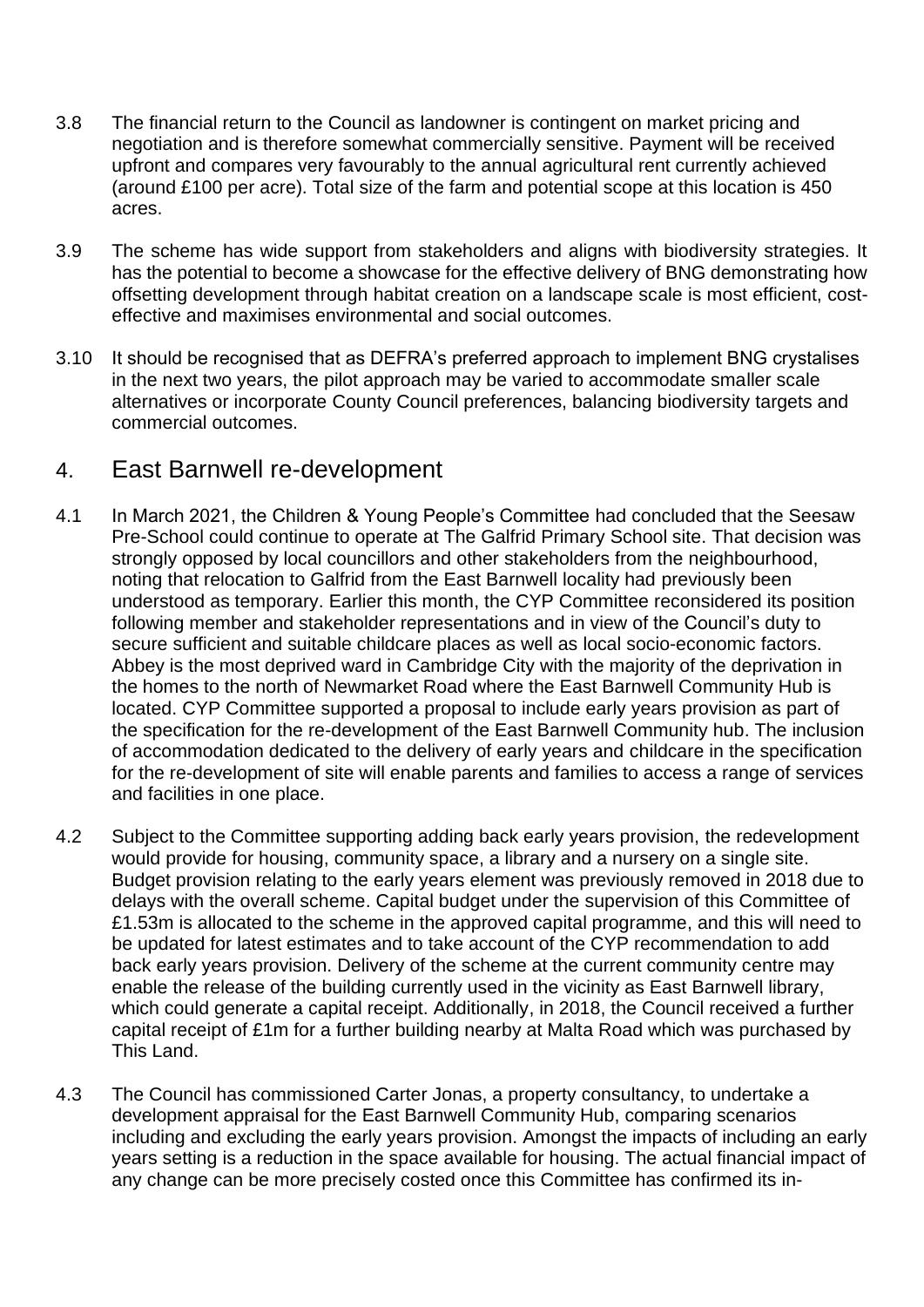- 3.8 The financial return to the Council as landowner is contingent on market pricing and negotiation and is therefore somewhat commercially sensitive. Payment will be received upfront and compares very favourably to the annual agricultural rent currently achieved (around £100 per acre). Total size of the farm and potential scope at this location is 450 acres.
- 3.9 The scheme has wide support from stakeholders and aligns with biodiversity strategies. It has the potential to become a showcase for the effective delivery of BNG demonstrating how offsetting development through habitat creation on a landscape scale is most efficient, costeffective and maximises environmental and social outcomes.
- 3.10 It should be recognised that as DEFRA's preferred approach to implement BNG crystalises in the next two years, the pilot approach may be varied to accommodate smaller scale alternatives or incorporate County Council preferences, balancing biodiversity targets and commercial outcomes.

#### 4. East Barnwell re-development

- 4.1 In March 2021, the Children & Young People's Committee had concluded that the Seesaw Pre-School could continue to operate at The Galfrid Primary School site. That decision was strongly opposed by local councillors and other stakeholders from the neighbourhood, noting that relocation to Galfrid from the East Barnwell locality had previously been understood as temporary. Earlier this month, the CYP Committee reconsidered its position following member and stakeholder representations and in view of the Council's duty to secure sufficient and suitable childcare places as well as local socio-economic factors. Abbey is the most deprived ward in Cambridge City with the majority of the deprivation in the homes to the north of Newmarket Road where the East Barnwell Community Hub is located. CYP Committee supported a proposal to include early years provision as part of the specification for the re-development of the East Barnwell Community hub. The inclusion of accommodation dedicated to the delivery of early years and childcare in the specification for the re-development of site will enable parents and families to access a range of services and facilities in one place.
- 4.2 Subject to the Committee supporting adding back early years provision, the redevelopment would provide for housing, community space, a library and a nursery on a single site. Budget provision relating to the early years element was previously removed in 2018 due to delays with the overall scheme. Capital budget under the supervision of this Committee of £1.53m is allocated to the scheme in the approved capital programme, and this will need to be updated for latest estimates and to take account of the CYP recommendation to add back early years provision. Delivery of the scheme at the current community centre may enable the release of the building currently used in the vicinity as East Barnwell library, which could generate a capital receipt. Additionally, in 2018, the Council received a further capital receipt of £1m for a further building nearby at Malta Road which was purchased by This Land.
- 4.3 The Council has commissioned Carter Jonas, a property consultancy, to undertake a development appraisal for the East Barnwell Community Hub, comparing scenarios including and excluding the early years provision. Amongst the impacts of including an early years setting is a reduction in the space available for housing. The actual financial impact of any change can be more precisely costed once this Committee has confirmed its in-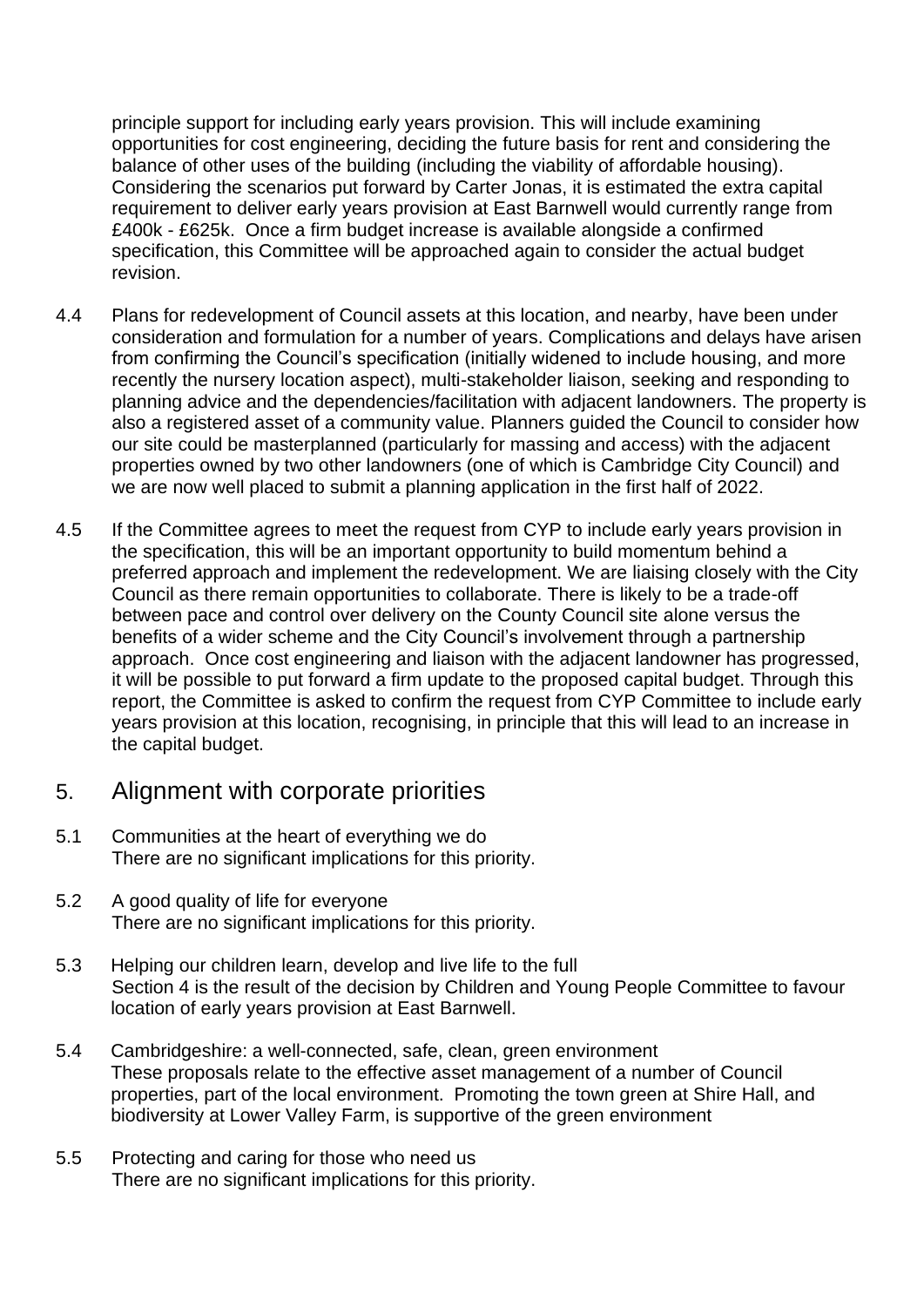principle support for including early years provision. This will include examining opportunities for cost engineering, deciding the future basis for rent and considering the balance of other uses of the building (including the viability of affordable housing). Considering the scenarios put forward by Carter Jonas, it is estimated the extra capital requirement to deliver early years provision at East Barnwell would currently range from £400k - £625k. Once a firm budget increase is available alongside a confirmed specification, this Committee will be approached again to consider the actual budget revision.

- 4.4 Plans for redevelopment of Council assets at this location, and nearby, have been under consideration and formulation for a number of years. Complications and delays have arisen from confirming the Council's specification (initially widened to include housing, and more recently the nursery location aspect), multi-stakeholder liaison, seeking and responding to planning advice and the dependencies/facilitation with adjacent landowners. The property is also a registered asset of a community value. Planners guided the Council to consider how our site could be masterplanned (particularly for massing and access) with the adjacent properties owned by two other landowners (one of which is Cambridge City Council) and we are now well placed to submit a planning application in the first half of 2022.
- 4.5 If the Committee agrees to meet the request from CYP to include early years provision in the specification, this will be an important opportunity to build momentum behind a preferred approach and implement the redevelopment. We are liaising closely with the City Council as there remain opportunities to collaborate. There is likely to be a trade-off between pace and control over delivery on the County Council site alone versus the benefits of a wider scheme and the City Council's involvement through a partnership approach. Once cost engineering and liaison with the adjacent landowner has progressed, it will be possible to put forward a firm update to the proposed capital budget. Through this report, the Committee is asked to confirm the request from CYP Committee to include early years provision at this location, recognising, in principle that this will lead to an increase in the capital budget.

#### 5. Alignment with corporate priorities

- 5.1 Communities at the heart of everything we do There are no significant implications for this priority.
- 5.2 A good quality of life for everyone There are no significant implications for this priority.
- 5.3 Helping our children learn, develop and live life to the full Section 4 is the result of the decision by Children and Young People Committee to favour location of early years provision at East Barnwell.
- 5.4 Cambridgeshire: a well-connected, safe, clean, green environment These proposals relate to the effective asset management of a number of Council properties, part of the local environment. Promoting the town green at Shire Hall, and biodiversity at Lower Valley Farm, is supportive of the green environment
- 5.5 Protecting and caring for those who need us There are no significant implications for this priority.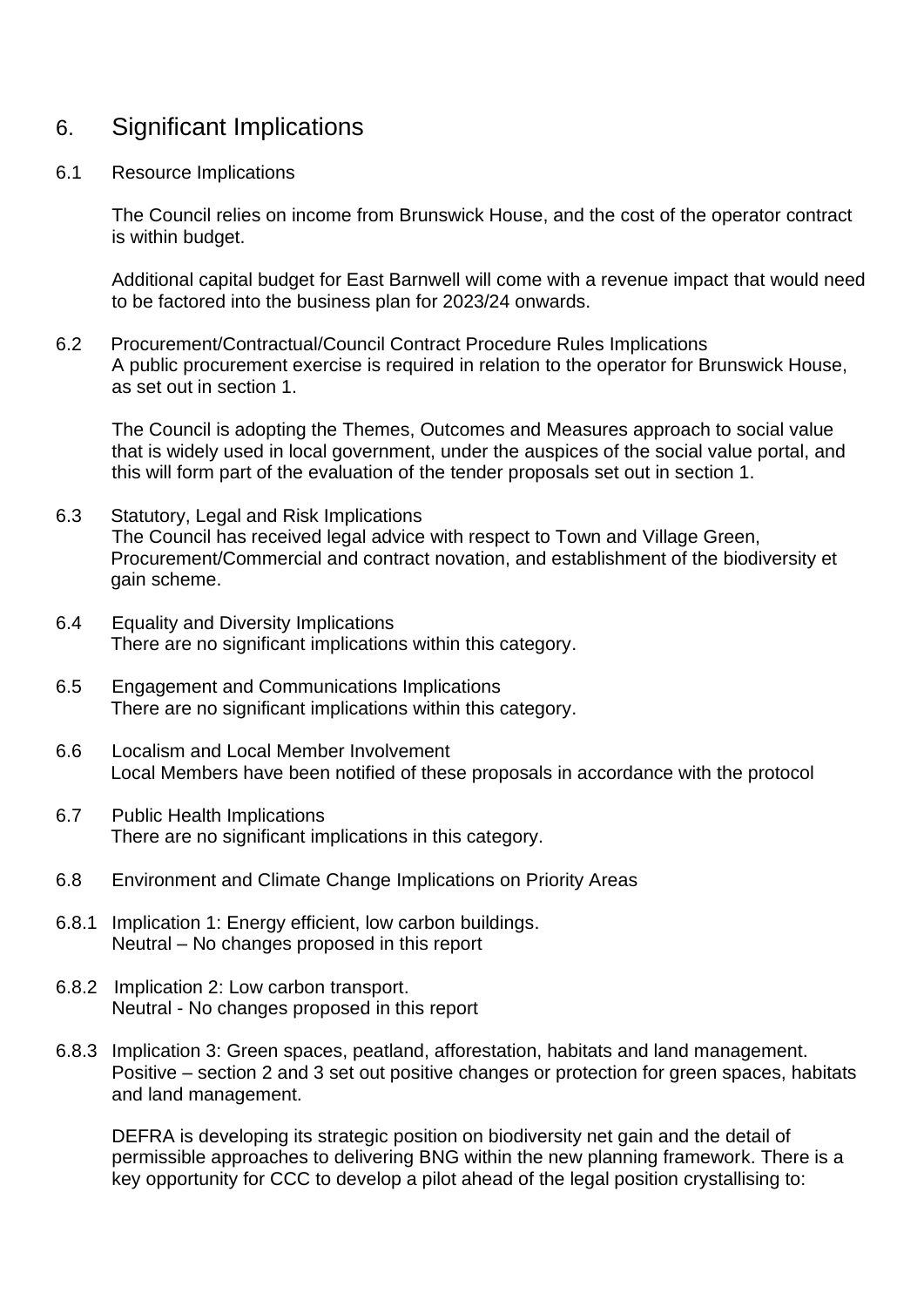### 6. Significant Implications

#### 6.1 Resource Implications

The Council relies on income from Brunswick House, and the cost of the operator contract is within budget.

Additional capital budget for East Barnwell will come with a revenue impact that would need to be factored into the business plan for 2023/24 onwards.

6.2 Procurement/Contractual/Council Contract Procedure Rules Implications A public procurement exercise is required in relation to the operator for Brunswick House, as set out in section 1.

The Council is adopting the Themes, Outcomes and Measures approach to social value that is widely used in local government, under the auspices of the social value portal, and this will form part of the evaluation of the tender proposals set out in section 1.

- 6.3 Statutory, Legal and Risk Implications The Council has received legal advice with respect to Town and Village Green, Procurement/Commercial and contract novation, and establishment of the biodiversity et gain scheme.
- 6.4 Equality and Diversity Implications There are no significant implications within this category.
- 6.5 Engagement and Communications Implications There are no significant implications within this category.
- 6.6 Localism and Local Member Involvement Local Members have been notified of these proposals in accordance with the protocol
- 6.7 Public Health Implications There are no significant implications in this category.
- 6.8 Environment and Climate Change Implications on Priority Areas
- 6.8.1 Implication 1: Energy efficient, low carbon buildings. Neutral – No changes proposed in this report
- 6.8.2 Implication 2: Low carbon transport. Neutral - No changes proposed in this report
- 6.8.3 Implication 3: Green spaces, peatland, afforestation, habitats and land management. Positive – section 2 and 3 set out positive changes or protection for green spaces, habitats and land management.

DEFRA is developing its strategic position on biodiversity net gain and the detail of permissible approaches to delivering BNG within the new planning framework. There is a key opportunity for CCC to develop a pilot ahead of the legal position crystallising to: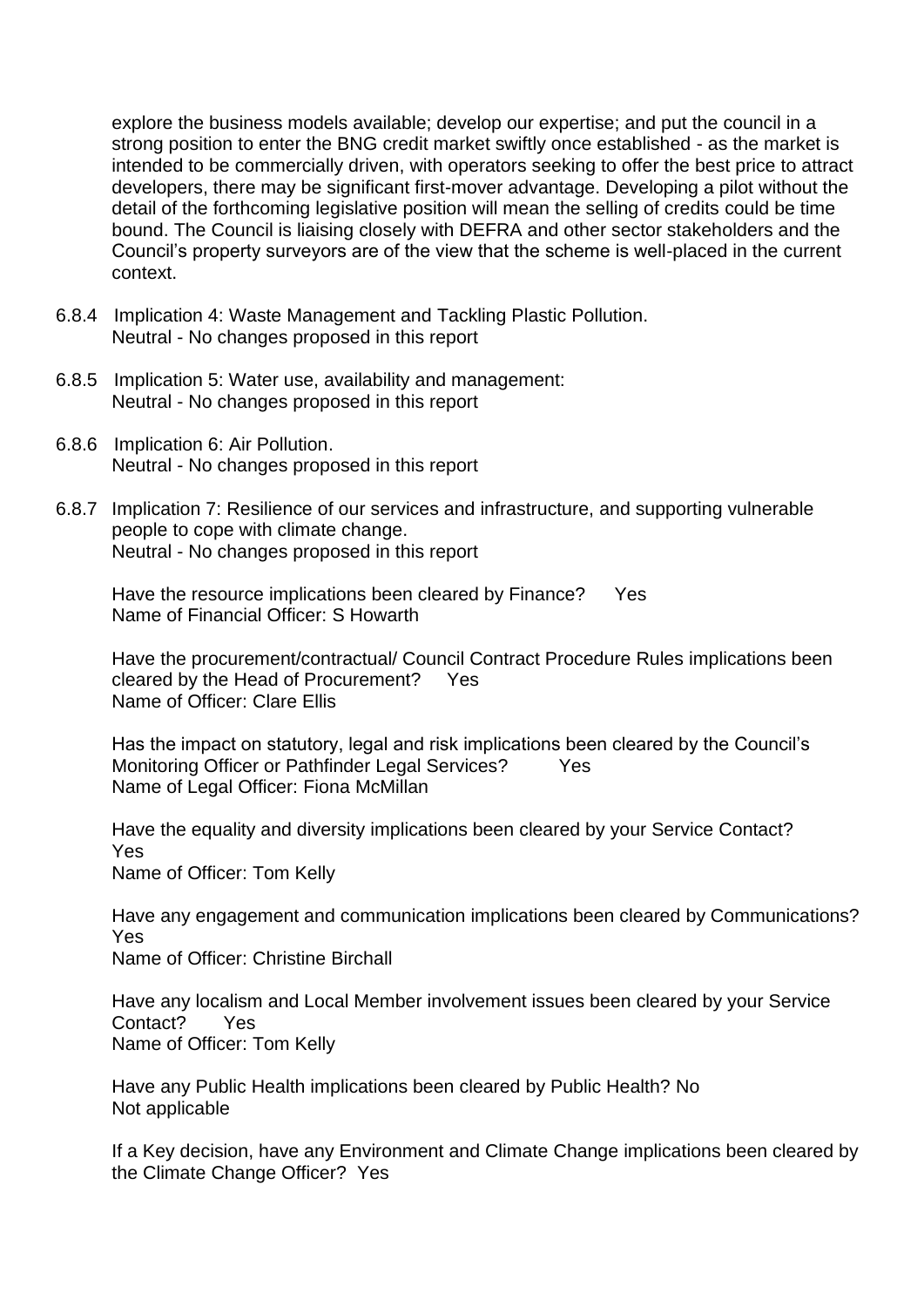explore the business models available; develop our expertise; and put the council in a strong position to enter the BNG credit market swiftly once established - as the market is intended to be commercially driven, with operators seeking to offer the best price to attract developers, there may be significant first-mover advantage. Developing a pilot without the detail of the forthcoming legislative position will mean the selling of credits could be time bound. The Council is liaising closely with DEFRA and other sector stakeholders and the Council's property surveyors are of the view that the scheme is well-placed in the current context.

- 6.8.4 Implication 4: Waste Management and Tackling Plastic Pollution. Neutral - No changes proposed in this report
- 6.8.5 Implication 5: Water use, availability and management: Neutral - No changes proposed in this report
- 6.8.6 Implication 6: Air Pollution. Neutral - No changes proposed in this report
- 6.8.7 Implication 7: Resilience of our services and infrastructure, and supporting vulnerable people to cope with climate change. Neutral - No changes proposed in this report

Have the resource implications been cleared by Finance? Yes Name of Financial Officer: S Howarth

Have the procurement/contractual/ Council Contract Procedure Rules implications been cleared by the Head of Procurement? Yes Name of Officer: Clare Ellis

Has the impact on statutory, legal and risk implications been cleared by the Council's Monitoring Officer or Pathfinder Legal Services? Yes Name of Legal Officer: Fiona McMillan

Have the equality and diversity implications been cleared by your Service Contact? Yes Name of Officer: Tom Kelly

Have any engagement and communication implications been cleared by Communications? Yes Name of Officer: Christine Birchall

Have any localism and Local Member involvement issues been cleared by your Service Contact? Yes Name of Officer: Tom Kelly

Have any Public Health implications been cleared by Public Health? No Not applicable

If a Key decision, have any Environment and Climate Change implications been cleared by the Climate Change Officer? Yes